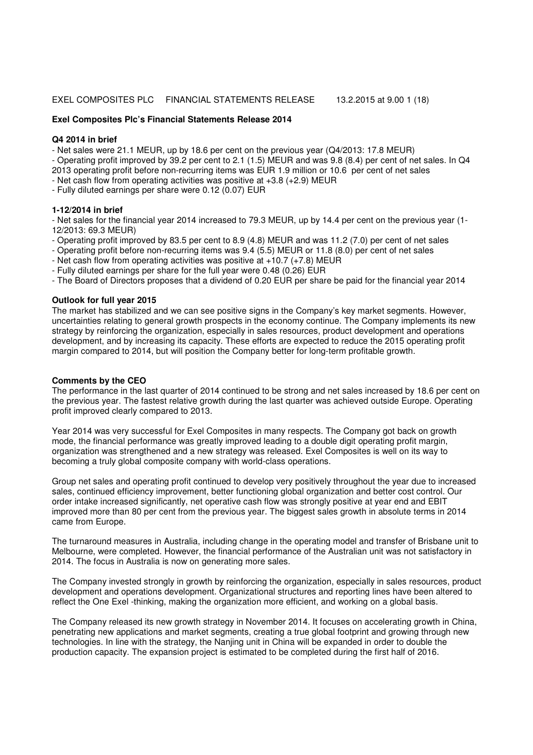## EXEL COMPOSITES PLC FINANCIAL STATEMENTS RELEASE 13.2.2015 at 9.00 1 (18)

#### **Exel Composites Plc's Financial Statements Release 2014**

#### **Q4 2014 in brief**

- Net sales were 21.1 MEUR, up by 18.6 per cent on the previous year (Q4/2013: 17.8 MEUR)

- Operating profit improved by 39.2 per cent to 2.1 (1.5) MEUR and was 9.8 (8.4) per cent of net sales. In Q4 2013 operating profit before non-recurring items was EUR 1.9 million or 10.6 per cent of net sales

- Net cash flow from operating activities was positive at +3.8 (+2.9) MEUR

- Fully diluted earnings per share were 0.12 (0.07) EUR

#### **1-12/2014 in brief**

- Net sales for the financial year 2014 increased to 79.3 MEUR, up by 14.4 per cent on the previous year (1- 12/2013: 69.3 MEUR)

- Operating profit improved by 83.5 per cent to 8.9 (4.8) MEUR and was 11.2 (7.0) per cent of net sales

- Operating profit before non-recurring items was 9.4 (5.5) MEUR or 11.8 (8.0) per cent of net sales
- Net cash flow from operating activities was positive at  $+10.7$  ( $+7.8$ ) MEUR

- Fully diluted earnings per share for the full year were 0.48 (0.26) EUR

- The Board of Directors proposes that a dividend of 0.20 EUR per share be paid for the financial year 2014

## **Outlook for full year 2015**

The market has stabilized and we can see positive signs in the Company's key market segments. However, uncertainties relating to general growth prospects in the economy continue. The Company implements its new strategy by reinforcing the organization, especially in sales resources, product development and operations development, and by increasing its capacity. These efforts are expected to reduce the 2015 operating profit margin compared to 2014, but will position the Company better for long-term profitable growth.

## **Comments by the CEO**

The performance in the last quarter of 2014 continued to be strong and net sales increased by 18.6 per cent on the previous year. The fastest relative growth during the last quarter was achieved outside Europe. Operating profit improved clearly compared to 2013.

Year 2014 was very successful for Exel Composites in many respects. The Company got back on growth mode, the financial performance was greatly improved leading to a double digit operating profit margin, organization was strengthened and a new strategy was released. Exel Composites is well on its way to becoming a truly global composite company with world-class operations.

Group net sales and operating profit continued to develop very positively throughout the year due to increased sales, continued efficiency improvement, better functioning global organization and better cost control. Our order intake increased significantly, net operative cash flow was strongly positive at year end and EBIT improved more than 80 per cent from the previous year. The biggest sales growth in absolute terms in 2014 came from Europe.

The turnaround measures in Australia, including change in the operating model and transfer of Brisbane unit to Melbourne, were completed. However, the financial performance of the Australian unit was not satisfactory in 2014. The focus in Australia is now on generating more sales.

The Company invested strongly in growth by reinforcing the organization, especially in sales resources, product development and operations development. Organizational structures and reporting lines have been altered to reflect the One Exel -thinking, making the organization more efficient, and working on a global basis.

The Company released its new growth strategy in November 2014. It focuses on accelerating growth in China, penetrating new applications and market segments, creating a true global footprint and growing through new technologies. In line with the strategy, the Nanjing unit in China will be expanded in order to double the production capacity. The expansion project is estimated to be completed during the first half of 2016.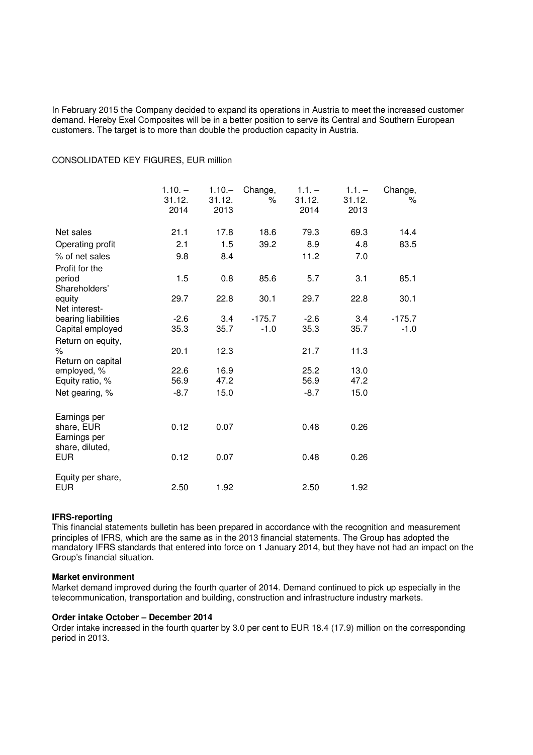In February 2015 the Company decided to expand its operations in Austria to meet the increased customer demand. Hereby Exel Composites will be in a better position to serve its Central and Southern European customers. The target is to more than double the production capacity in Austria.

#### CONSOLIDATED KEY FIGURES, EUR million

|                                      | $1.10. -$<br>31.12.<br>2014 | $1.10 -$<br>31.12.<br>2013 | Change,<br>$\%$ | $1.1. -$<br>31.12.<br>2014 | $1.1. -$<br>31.12.<br>2013 | Change,<br>℅ |
|--------------------------------------|-----------------------------|----------------------------|-----------------|----------------------------|----------------------------|--------------|
| Net sales                            | 21.1                        | 17.8                       | 18.6            | 79.3                       | 69.3                       | 14.4         |
| Operating profit                     | 2.1                         | 1.5                        | 39.2            | 8.9                        | 4.8                        | 83.5         |
| % of net sales                       | 9.8                         | 8.4                        |                 | 11.2                       | 7.0                        |              |
| Profit for the                       |                             |                            |                 |                            |                            |              |
| period                               | 1.5                         | 0.8                        | 85.6            | 5.7                        | 3.1                        | 85.1         |
| Shareholders'                        |                             |                            |                 |                            |                            |              |
| equity                               | 29.7                        | 22.8                       | 30.1            | 29.7                       | 22.8                       | 30.1         |
| Net interest-<br>bearing liabilities | $-2.6$                      | 3.4                        | $-175.7$        | $-2.6$                     | 3.4                        | $-175.7$     |
| Capital employed                     | 35.3                        | 35.7                       | $-1.0$          | 35.3                       | 35.7                       | $-1.0$       |
| Return on equity,                    |                             |                            |                 |                            |                            |              |
| $\%$                                 | 20.1                        | 12.3                       |                 | 21.7                       | 11.3                       |              |
| Return on capital                    |                             |                            |                 |                            |                            |              |
| employed, %                          | 22.6                        | 16.9                       |                 | 25.2                       | 13.0                       |              |
| Equity ratio, %                      | 56.9                        | 47.2                       |                 | 56.9                       | 47.2                       |              |
| Net gearing, %                       | $-8.7$                      | 15.0                       |                 | $-8.7$                     | 15.0                       |              |
| Earnings per                         |                             |                            |                 |                            |                            |              |
| share, EUR                           | 0.12                        | 0.07                       |                 | 0.48                       | 0.26                       |              |
| Earnings per                         |                             |                            |                 |                            |                            |              |
| share, diluted,                      |                             |                            |                 |                            |                            |              |
| EUR                                  | 0.12                        | 0.07                       |                 | 0.48                       | 0.26                       |              |
| Equity per share,                    |                             |                            |                 |                            |                            |              |
| EUR                                  | 2.50                        | 1.92                       |                 | 2.50                       | 1.92                       |              |

## **IFRS-reporting**

This financial statements bulletin has been prepared in accordance with the recognition and measurement principles of IFRS, which are the same as in the 2013 financial statements. The Group has adopted the mandatory IFRS standards that entered into force on 1 January 2014, but they have not had an impact on the Group's financial situation.

## **Market environment**

Market demand improved during the fourth quarter of 2014. Demand continued to pick up especially in the telecommunication, transportation and building, construction and infrastructure industry markets.

## **Order intake October – December 2014**

Order intake increased in the fourth quarter by 3.0 per cent to EUR 18.4 (17.9) million on the corresponding period in 2013.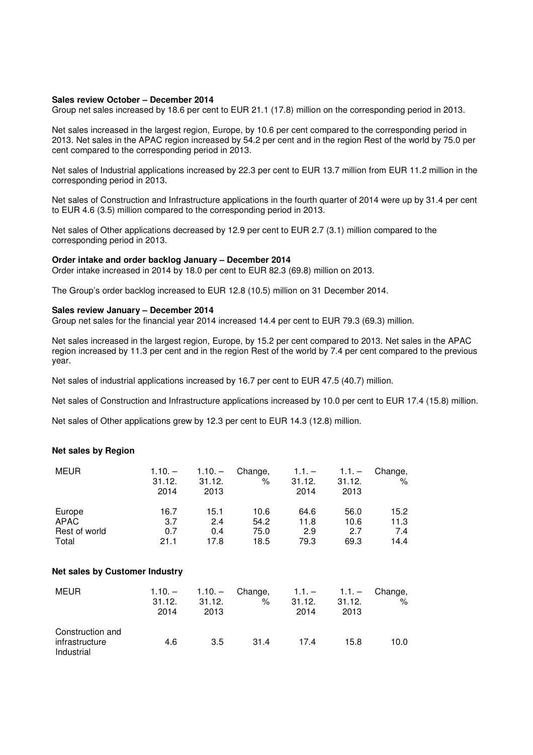#### **Sales review October – December 2014**

Group net sales increased by 18.6 per cent to EUR 21.1 (17.8) million on the corresponding period in 2013.

Net sales increased in the largest region, Europe, by 10.6 per cent compared to the corresponding period in 2013. Net sales in the APAC region increased by 54.2 per cent and in the region Rest of the world by 75.0 per cent compared to the corresponding period in 2013.

Net sales of Industrial applications increased by 22.3 per cent to EUR 13.7 million from EUR 11.2 million in the corresponding period in 2013.

Net sales of Construction and Infrastructure applications in the fourth quarter of 2014 were up by 31.4 per cent to EUR 4.6 (3.5) million compared to the corresponding period in 2013.

Net sales of Other applications decreased by 12.9 per cent to EUR 2.7 (3.1) million compared to the corresponding period in 2013.

#### **Order intake and order backlog January – December 2014**

Order intake increased in 2014 by 18.0 per cent to EUR 82.3 (69.8) million on 2013.

The Group's order backlog increased to EUR 12.8 (10.5) million on 31 December 2014.

## **Sales review January – December 2014**

Group net sales for the financial year 2014 increased 14.4 per cent to EUR 79.3 (69.3) million.

Net sales increased in the largest region, Europe, by 15.2 per cent compared to 2013. Net sales in the APAC region increased by 11.3 per cent and in the region Rest of the world by 7.4 per cent compared to the previous year.

Net sales of industrial applications increased by 16.7 per cent to EUR 47.5 (40.7) million.

Net sales of Construction and Infrastructure applications increased by 10.0 per cent to EUR 17.4 (15.8) million.

Net sales of Other applications grew by 12.3 per cent to EUR 14.3 (12.8) million.

## **Net sales by Region**

| <b>MEUR</b>   | $1.10. -$<br>31.12.<br>2014 | $1.10 -$<br>31.12.<br>2013 | Change,<br>% | $1.1 -$<br>31.12.<br>2014 | $1.1 -$<br>31.12.<br>2013 | Change,<br>%      |
|---------------|-----------------------------|----------------------------|--------------|---------------------------|---------------------------|-------------------|
| Europe        | 16.7                        | 15.1                       | 10.6         | 64.6                      | 56.0                      | 15.2 <sub>1</sub> |
| APAC          | 3.7                         | 2.4                        | 54.2         | 11.8                      | 10.6                      | 11.3              |
| Rest of world | 0.7                         | 0.4                        | 75.0         | 2.9                       | 2.7                       | 7.4               |
| Total         | 21.1                        | 17.8                       | 18.5         | 79.3                      | 69.3                      | 14.4              |

#### **Net sales by Customer Industry**

| <b>MEUR</b>                                      | 31.12.<br>2014 | 31.12.<br>2013 | $1.10. - 1.10. - Change$ .<br>% | 31.12.<br>2014 | $1.1. - 1.1. - $ Change,<br>31.12.<br>2013 | %    |
|--------------------------------------------------|----------------|----------------|---------------------------------|----------------|--------------------------------------------|------|
| Construction and<br>infrastructure<br>Industrial | 4.6            | 3.5            | 31.4                            | 17.4           | 15.8                                       | 10.0 |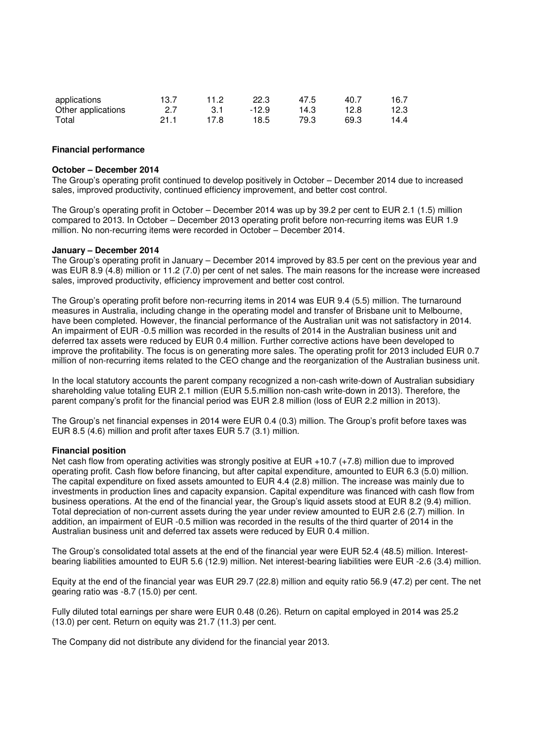| applications       | 13.7 | 11.2 | 22.3  | 47.5 | 40.7 | 16.7 |
|--------------------|------|------|-------|------|------|------|
| Other applications | 27   | -3.1 | -12.9 | 14.3 | 12.8 | 12.3 |
| Total              | 21.1 | 17 8 | 18.5  | 79.3 | 69.3 | 14.4 |

#### **Financial performance**

#### **October – December 2014**

The Group's operating profit continued to develop positively in October – December 2014 due to increased sales, improved productivity, continued efficiency improvement, and better cost control.

The Group's operating profit in October – December 2014 was up by 39.2 per cent to EUR 2.1 (1.5) million compared to 2013. In October – December 2013 operating profit before non-recurring items was EUR 1.9 million. No non-recurring items were recorded in October – December 2014.

#### **January – December 2014**

The Group's operating profit in January – December 2014 improved by 83.5 per cent on the previous year and was EUR 8.9 (4.8) million or 11.2 (7.0) per cent of net sales. The main reasons for the increase were increased sales, improved productivity, efficiency improvement and better cost control.

The Group's operating profit before non-recurring items in 2014 was EUR 9.4 (5.5) million. The turnaround measures in Australia, including change in the operating model and transfer of Brisbane unit to Melbourne, have been completed. However, the financial performance of the Australian unit was not satisfactory in 2014. An impairment of EUR -0.5 million was recorded in the results of 2014 in the Australian business unit and deferred tax assets were reduced by EUR 0.4 million. Further corrective actions have been developed to improve the profitability. The focus is on generating more sales. The operating profit for 2013 included EUR 0.7 million of non-recurring items related to the CEO change and the reorganization of the Australian business unit.

In the local statutory accounts the parent company recognized a non-cash write-down of Australian subsidiary shareholding value totaling EUR 2.1 million (EUR 5.5.million non-cash write-down in 2013). Therefore, the parent company's profit for the financial period was EUR 2.8 million (loss of EUR 2.2 million in 2013).

The Group's net financial expenses in 2014 were EUR 0.4 (0.3) million. The Group's profit before taxes was EUR 8.5 (4.6) million and profit after taxes EUR 5.7 (3.1) million.

#### **Financial position**

Net cash flow from operating activities was strongly positive at EUR +10.7 (+7.8) million due to improved operating profit. Cash flow before financing, but after capital expenditure, amounted to EUR 6.3 (5.0) million. The capital expenditure on fixed assets amounted to EUR 4.4 (2.8) million. The increase was mainly due to investments in production lines and capacity expansion. Capital expenditure was financed with cash flow from business operations. At the end of the financial year, the Group's liquid assets stood at EUR 8.2 (9.4) million. Total depreciation of non-current assets during the year under review amounted to EUR 2.6 (2.7) million. In addition, an impairment of EUR -0.5 million was recorded in the results of the third quarter of 2014 in the Australian business unit and deferred tax assets were reduced by EUR 0.4 million.

The Group's consolidated total assets at the end of the financial year were EUR 52.4 (48.5) million. Interestbearing liabilities amounted to EUR 5.6 (12.9) million. Net interest-bearing liabilities were EUR -2.6 (3.4) million.

Equity at the end of the financial year was EUR 29.7 (22.8) million and equity ratio 56.9 (47.2) per cent. The net gearing ratio was -8.7 (15.0) per cent.

Fully diluted total earnings per share were EUR 0.48 (0.26). Return on capital employed in 2014 was 25.2 (13.0) per cent. Return on equity was 21.7 (11.3) per cent.

The Company did not distribute any dividend for the financial year 2013.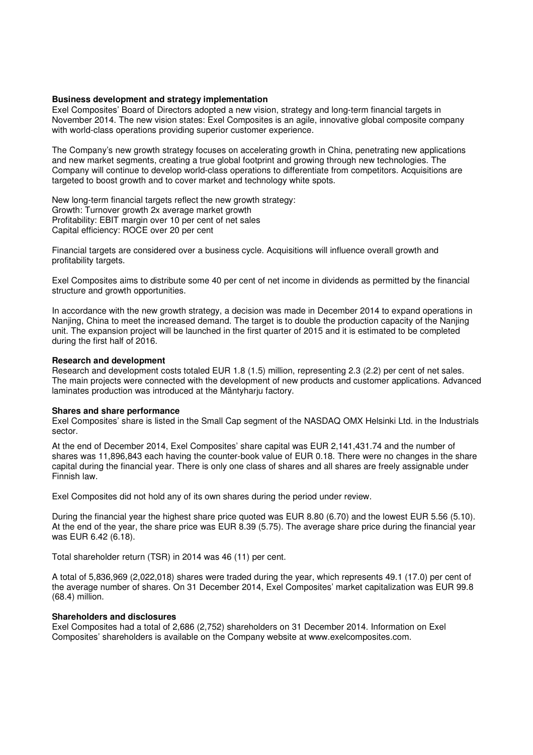## **Business development and strategy implementation**

Exel Composites' Board of Directors adopted a new vision, strategy and long-term financial targets in November 2014. The new vision states: Exel Composites is an agile, innovative global composite company with world-class operations providing superior customer experience.

The Company's new growth strategy focuses on accelerating growth in China, penetrating new applications and new market segments, creating a true global footprint and growing through new technologies. The Company will continue to develop world-class operations to differentiate from competitors. Acquisitions are targeted to boost growth and to cover market and technology white spots.

New long-term financial targets reflect the new growth strategy: Growth: Turnover growth 2x average market growth Profitability: EBIT margin over 10 per cent of net sales Capital efficiency: ROCE over 20 per cent

Financial targets are considered over a business cycle. Acquisitions will influence overall growth and profitability targets.

Exel Composites aims to distribute some 40 per cent of net income in dividends as permitted by the financial structure and growth opportunities.

In accordance with the new growth strategy, a decision was made in December 2014 to expand operations in Nanjing, China to meet the increased demand. The target is to double the production capacity of the Nanjing unit. The expansion project will be launched in the first quarter of 2015 and it is estimated to be completed during the first half of 2016.

#### **Research and development**

Research and development costs totaled EUR 1.8 (1.5) million, representing 2.3 (2.2) per cent of net sales. The main projects were connected with the development of new products and customer applications. Advanced laminates production was introduced at the Mäntyharju factory.

#### **Shares and share performance**

Exel Composites' share is listed in the Small Cap segment of the NASDAQ OMX Helsinki Ltd. in the Industrials sector.

At the end of December 2014, Exel Composites' share capital was EUR 2,141,431.74 and the number of shares was 11,896,843 each having the counter-book value of EUR 0.18. There were no changes in the share capital during the financial year. There is only one class of shares and all shares are freely assignable under Finnish law.

Exel Composites did not hold any of its own shares during the period under review.

During the financial year the highest share price quoted was EUR 8.80 (6.70) and the lowest EUR 5.56 (5.10). At the end of the year, the share price was EUR 8.39 (5.75). The average share price during the financial year was EUR 6.42 (6.18).

Total shareholder return (TSR) in 2014 was 46 (11) per cent.

A total of 5,836,969 (2,022,018) shares were traded during the year, which represents 49.1 (17.0) per cent of the average number of shares. On 31 December 2014, Exel Composites' market capitalization was EUR 99.8 (68.4) million.

## **Shareholders and disclosures**

Exel Composites had a total of 2,686 (2,752) shareholders on 31 December 2014. Information on Exel Composites' shareholders is available on the Company website at www.exelcomposites.com.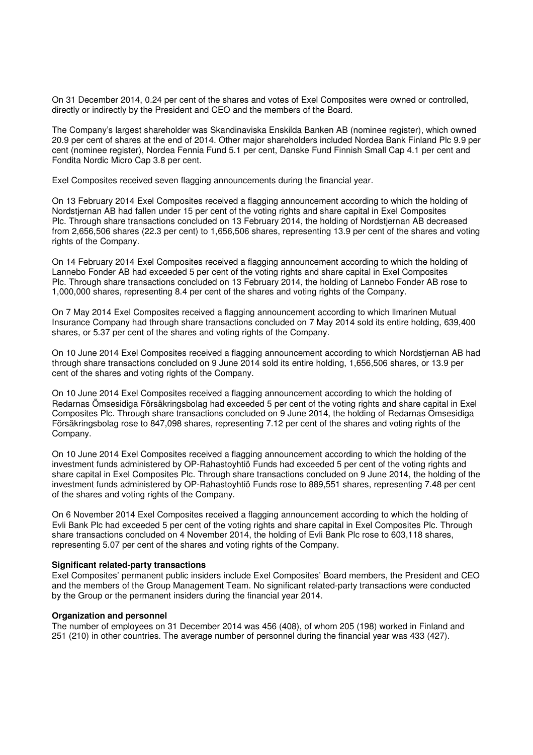On 31 December 2014, 0.24 per cent of the shares and votes of Exel Composites were owned or controlled, directly or indirectly by the President and CEO and the members of the Board.

The Company's largest shareholder was Skandinaviska Enskilda Banken AB (nominee register), which owned 20.9 per cent of shares at the end of 2014. Other major shareholders included Nordea Bank Finland Plc 9.9 per cent (nominee register), Nordea Fennia Fund 5.1 per cent, Danske Fund Finnish Small Cap 4.1 per cent and Fondita Nordic Micro Cap 3.8 per cent.

Exel Composites received seven flagging announcements during the financial year.

On 13 February 2014 Exel Composites received a flagging announcement according to which the holding of Nordstjernan AB had fallen under 15 per cent of the voting rights and share capital in Exel Composites Plc. Through share transactions concluded on 13 February 2014, the holding of Nordstjernan AB decreased from 2,656,506 shares (22.3 per cent) to 1,656,506 shares, representing 13.9 per cent of the shares and voting rights of the Company.

On 14 February 2014 Exel Composites received a flagging announcement according to which the holding of Lannebo Fonder AB had exceeded 5 per cent of the voting rights and share capital in Exel Composites Plc. Through share transactions concluded on 13 February 2014, the holding of Lannebo Fonder AB rose to 1,000,000 shares, representing 8.4 per cent of the shares and voting rights of the Company.

On 7 May 2014 Exel Composites received a flagging announcement according to which llmarinen Mutual Insurance Company had through share transactions concluded on 7 May 2014 sold its entire holding, 639,400 shares, or 5.37 per cent of the shares and voting rights of the Company.

On 10 June 2014 Exel Composites received a flagging announcement according to which Nordstjernan AB had through share transactions concluded on 9 June 2014 sold its entire holding, 1,656,506 shares, or 13.9 per cent of the shares and voting rights of the Company.

On 10 June 2014 Exel Composites received a flagging announcement according to which the holding of Redarnas Ömsesidiga Försäkringsbolag had exceeded 5 per cent of the voting rights and share capital in Exel Composites Plc. Through share transactions concluded on 9 June 2014, the holding of Redarnas Ömsesidiga Försäkringsbolag rose to 847,098 shares, representing 7.12 per cent of the shares and voting rights of the Company.

On 10 June 2014 Exel Composites received a flagging announcement according to which the holding of the investment funds administered by OP-Rahastoyhtiö Funds had exceeded 5 per cent of the voting rights and share capital in Exel Composites Plc. Through share transactions concluded on 9 June 2014, the holding of the investment funds administered by OP-Rahastoyhtiö Funds rose to 889,551 shares, representing 7.48 per cent of the shares and voting rights of the Company.

On 6 November 2014 Exel Composites received a flagging announcement according to which the holding of Evli Bank Plc had exceeded 5 per cent of the voting rights and share capital in Exel Composites Plc. Through share transactions concluded on 4 November 2014, the holding of Evli Bank Plc rose to 603,118 shares, representing 5.07 per cent of the shares and voting rights of the Company.

## **Significant related-party transactions**

Exel Composites' permanent public insiders include Exel Composites' Board members, the President and CEO and the members of the Group Management Team. No significant related-party transactions were conducted by the Group or the permanent insiders during the financial year 2014.

## **Organization and personnel**

The number of employees on 31 December 2014 was 456 (408), of whom 205 (198) worked in Finland and 251 (210) in other countries. The average number of personnel during the financial year was 433 (427).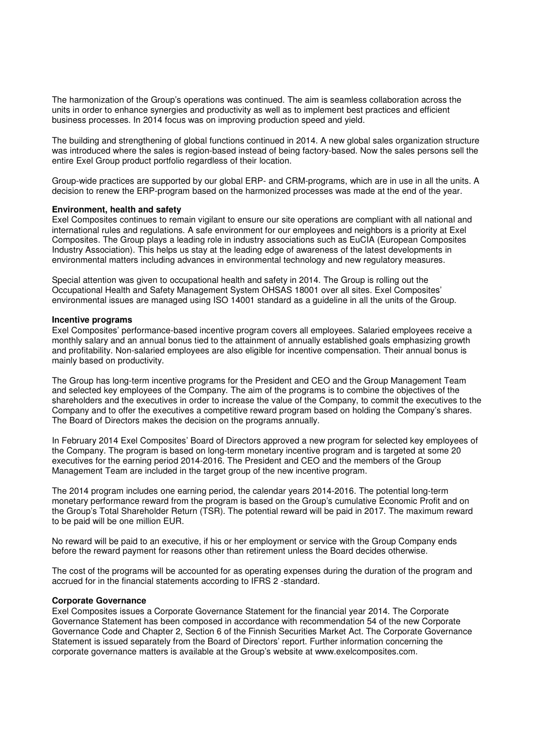The harmonization of the Group's operations was continued. The aim is seamless collaboration across the units in order to enhance synergies and productivity as well as to implement best practices and efficient business processes. In 2014 focus was on improving production speed and yield.

The building and strengthening of global functions continued in 2014. A new global sales organization structure was introduced where the sales is region-based instead of being factory-based. Now the sales persons sell the entire Exel Group product portfolio regardless of their location.

Group-wide practices are supported by our global ERP- and CRM-programs, which are in use in all the units. A decision to renew the ERP-program based on the harmonized processes was made at the end of the year.

#### **Environment, health and safety**

Exel Composites continues to remain vigilant to ensure our site operations are compliant with all national and international rules and regulations. A safe environment for our employees and neighbors is a priority at Exel Composites. The Group plays a leading role in industry associations such as EuCIA (European Composites Industry Association). This helps us stay at the leading edge of awareness of the latest developments in environmental matters including advances in environmental technology and new regulatory measures.

Special attention was given to occupational health and safety in 2014. The Group is rolling out the Occupational Health and Safety Management System OHSAS 18001 over all sites. Exel Composites' environmental issues are managed using ISO 14001 standard as a guideline in all the units of the Group.

#### **Incentive programs**

Exel Composites' performance-based incentive program covers all employees. Salaried employees receive a monthly salary and an annual bonus tied to the attainment of annually established goals emphasizing growth and profitability. Non-salaried employees are also eligible for incentive compensation. Their annual bonus is mainly based on productivity.

The Group has long-term incentive programs for the President and CEO and the Group Management Team and selected key employees of the Company. The aim of the programs is to combine the objectives of the shareholders and the executives in order to increase the value of the Company, to commit the executives to the Company and to offer the executives a competitive reward program based on holding the Company's shares. The Board of Directors makes the decision on the programs annually.

In February 2014 Exel Composites' Board of Directors approved a new program for selected key employees of the Company. The program is based on long-term monetary incentive program and is targeted at some 20 executives for the earning period 2014-2016. The President and CEO and the members of the Group Management Team are included in the target group of the new incentive program.

The 2014 program includes one earning period, the calendar years 2014-2016. The potential long-term monetary performance reward from the program is based on the Group's cumulative Economic Profit and on the Group's Total Shareholder Return (TSR). The potential reward will be paid in 2017. The maximum reward to be paid will be one million EUR.

No reward will be paid to an executive, if his or her employment or service with the Group Company ends before the reward payment for reasons other than retirement unless the Board decides otherwise.

The cost of the programs will be accounted for as operating expenses during the duration of the program and accrued for in the financial statements according to IFRS 2 -standard.

#### **Corporate Governance**

Exel Composites issues a Corporate Governance Statement for the financial year 2014. The Corporate Governance Statement has been composed in accordance with recommendation 54 of the new Corporate Governance Code and Chapter 2, Section 6 of the Finnish Securities Market Act. The Corporate Governance Statement is issued separately from the Board of Directors' report. Further information concerning the corporate governance matters is available at the Group's website at www.exelcomposites.com.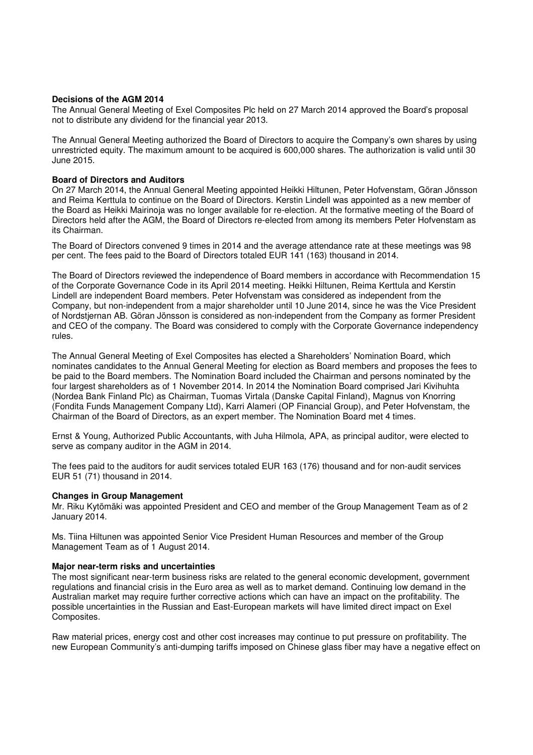## **Decisions of the AGM 2014**

The Annual General Meeting of Exel Composites Plc held on 27 March 2014 approved the Board's proposal not to distribute any dividend for the financial year 2013.

The Annual General Meeting authorized the Board of Directors to acquire the Company's own shares by using unrestricted equity. The maximum amount to be acquired is 600,000 shares. The authorization is valid until 30 June 2015.

## **Board of Directors and Auditors**

On 27 March 2014, the Annual General Meeting appointed Heikki Hiltunen, Peter Hofvenstam, Göran Jönsson and Reima Kerttula to continue on the Board of Directors. Kerstin Lindell was appointed as a new member of the Board as Heikki Mairinoja was no longer available for re-election. At the formative meeting of the Board of Directors held after the AGM, the Board of Directors re-elected from among its members Peter Hofvenstam as its Chairman.

The Board of Directors convened 9 times in 2014 and the average attendance rate at these meetings was 98 per cent. The fees paid to the Board of Directors totaled EUR 141 (163) thousand in 2014.

The Board of Directors reviewed the independence of Board members in accordance with Recommendation 15 of the Corporate Governance Code in its April 2014 meeting. Heikki Hiltunen, Reima Kerttula and Kerstin Lindell are independent Board members. Peter Hofvenstam was considered as independent from the Company, but non-independent from a major shareholder until 10 June 2014, since he was the Vice President of Nordstjernan AB. Göran Jönsson is considered as non-independent from the Company as former President and CEO of the company. The Board was considered to comply with the Corporate Governance independency rules.

The Annual General Meeting of Exel Composites has elected a Shareholders' Nomination Board, which nominates candidates to the Annual General Meeting for election as Board members and proposes the fees to be paid to the Board members. The Nomination Board included the Chairman and persons nominated by the four largest shareholders as of 1 November 2014. In 2014 the Nomination Board comprised Jari Kivihuhta (Nordea Bank Finland Plc) as Chairman, Tuomas Virtala (Danske Capital Finland), Magnus von Knorring (Fondita Funds Management Company Ltd), Karri Alameri (OP Financial Group), and Peter Hofvenstam, the Chairman of the Board of Directors, as an expert member. The Nomination Board met 4 times.

Ernst & Young, Authorized Public Accountants, with Juha Hilmola, APA, as principal auditor, were elected to serve as company auditor in the AGM in 2014.

The fees paid to the auditors for audit services totaled EUR 163 (176) thousand and for non-audit services EUR 51 (71) thousand in 2014.

#### **Changes in Group Management**

Mr. Riku Kytömäki was appointed President and CEO and member of the Group Management Team as of 2 January 2014.

Ms. Tiina Hiltunen was appointed Senior Vice President Human Resources and member of the Group Management Team as of 1 August 2014.

#### **Major near-term risks and uncertainties**

The most significant near-term business risks are related to the general economic development, government regulations and financial crisis in the Euro area as well as to market demand. Continuing low demand in the Australian market may require further corrective actions which can have an impact on the profitability. The possible uncertainties in the Russian and East-European markets will have limited direct impact on Exel Composites.

Raw material prices, energy cost and other cost increases may continue to put pressure on profitability. The new European Community's anti-dumping tariffs imposed on Chinese glass fiber may have a negative effect on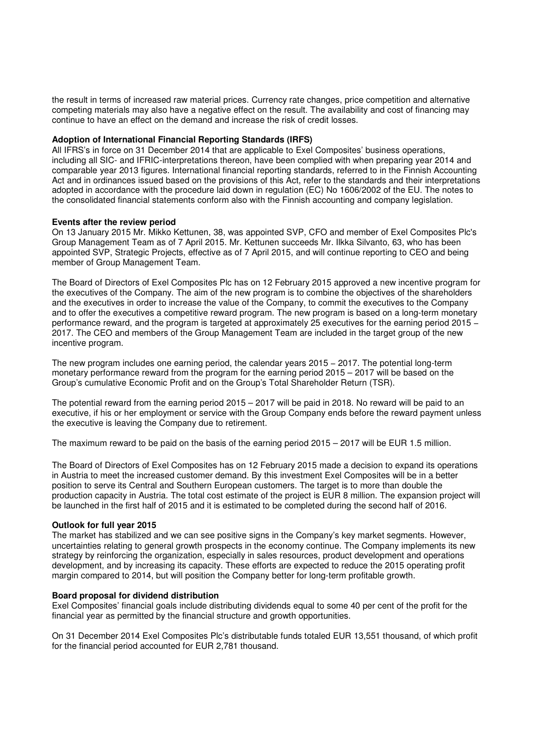the result in terms of increased raw material prices. Currency rate changes, price competition and alternative competing materials may also have a negative effect on the result. The availability and cost of financing may continue to have an effect on the demand and increase the risk of credit losses.

## **Adoption of International Financial Reporting Standards (IRFS)**

All IFRS's in force on 31 December 2014 that are applicable to Exel Composites' business operations, including all SIC- and IFRIC-interpretations thereon, have been complied with when preparing year 2014 and comparable year 2013 figures. International financial reporting standards, referred to in the Finnish Accounting Act and in ordinances issued based on the provisions of this Act, refer to the standards and their interpretations adopted in accordance with the procedure laid down in regulation (EC) No 1606/2002 of the EU. The notes to the consolidated financial statements conform also with the Finnish accounting and company legislation.

## **Events after the review period**

On 13 January 2015 Mr. Mikko Kettunen, 38, was appointed SVP, CFO and member of Exel Composites Plc's Group Management Team as of 7 April 2015. Mr. Kettunen succeeds Mr. Ilkka Silvanto, 63, who has been appointed SVP, Strategic Projects, effective as of 7 April 2015, and will continue reporting to CEO and being member of Group Management Team.

The Board of Directors of Exel Composites Plc has on 12 February 2015 approved a new incentive program for the executives of the Company. The aim of the new program is to combine the objectives of the shareholders and the executives in order to increase the value of the Company, to commit the executives to the Company and to offer the executives a competitive reward program. The new program is based on a long-term monetary performance reward, and the program is targeted at approximately 25 executives for the earning period 2015 − 2017. The CEO and members of the Group Management Team are included in the target group of the new incentive program.

The new program includes one earning period, the calendar years 2015 – 2017. The potential long-term monetary performance reward from the program for the earning period 2015 – 2017 will be based on the Group's cumulative Economic Profit and on the Group's Total Shareholder Return (TSR).

The potential reward from the earning period 2015 – 2017 will be paid in 2018. No reward will be paid to an executive, if his or her employment or service with the Group Company ends before the reward payment unless the executive is leaving the Company due to retirement.

The maximum reward to be paid on the basis of the earning period 2015 – 2017 will be EUR 1.5 million.

The Board of Directors of Exel Composites has on 12 February 2015 made a decision to expand its operations in Austria to meet the increased customer demand. By this investment Exel Composites will be in a better position to serve its Central and Southern European customers. The target is to more than double the production capacity in Austria. The total cost estimate of the project is EUR 8 million. The expansion project will be launched in the first half of 2015 and it is estimated to be completed during the second half of 2016.

## **Outlook for full year 2015**

The market has stabilized and we can see positive signs in the Company's key market segments. However, uncertainties relating to general growth prospects in the economy continue. The Company implements its new strategy by reinforcing the organization, especially in sales resources, product development and operations development, and by increasing its capacity. These efforts are expected to reduce the 2015 operating profit margin compared to 2014, but will position the Company better for long-term profitable growth.

## **Board proposal for dividend distribution**

Exel Composites' financial goals include distributing dividends equal to some 40 per cent of the profit for the financial year as permitted by the financial structure and growth opportunities.

On 31 December 2014 Exel Composites Plc's distributable funds totaled EUR 13,551 thousand, of which profit for the financial period accounted for EUR 2,781 thousand.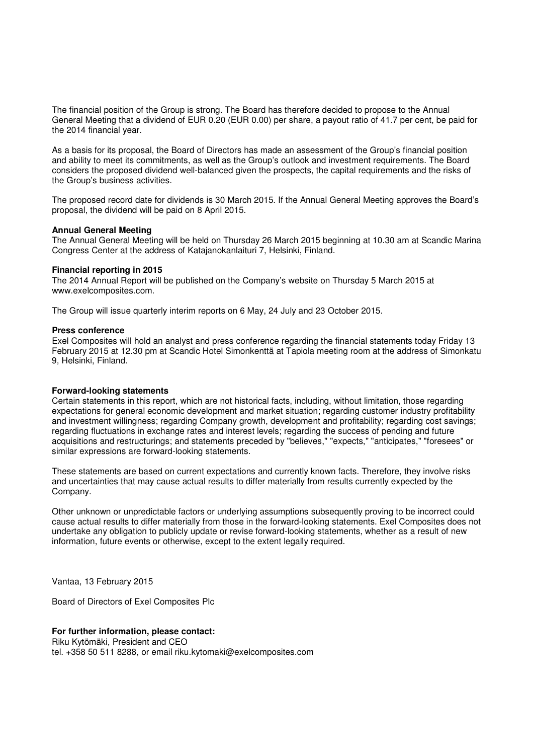The financial position of the Group is strong. The Board has therefore decided to propose to the Annual General Meeting that a dividend of EUR 0.20 (EUR 0.00) per share, a payout ratio of 41.7 per cent, be paid for the 2014 financial year.

As a basis for its proposal, the Board of Directors has made an assessment of the Group's financial position and ability to meet its commitments, as well as the Group's outlook and investment requirements. The Board considers the proposed dividend well-balanced given the prospects, the capital requirements and the risks of the Group's business activities.

The proposed record date for dividends is 30 March 2015. If the Annual General Meeting approves the Board's proposal, the dividend will be paid on 8 April 2015.

#### **Annual General Meeting**

The Annual General Meeting will be held on Thursday 26 March 2015 beginning at 10.30 am at Scandic Marina Congress Center at the address of Katajanokanlaituri 7, Helsinki, Finland.

#### **Financial reporting in 2015**

The 2014 Annual Report will be published on the Company's website on Thursday 5 March 2015 at www.exelcomposites.com.

The Group will issue quarterly interim reports on 6 May, 24 July and 23 October 2015.

#### **Press conference**

Exel Composites will hold an analyst and press conference regarding the financial statements today Friday 13 February 2015 at 12.30 pm at Scandic Hotel Simonkenttä at Tapiola meeting room at the address of Simonkatu 9, Helsinki, Finland.

## **Forward-looking statements**

Certain statements in this report, which are not historical facts, including, without limitation, those regarding expectations for general economic development and market situation; regarding customer industry profitability and investment willingness; regarding Company growth, development and profitability; regarding cost savings; regarding fluctuations in exchange rates and interest levels; regarding the success of pending and future acquisitions and restructurings; and statements preceded by "believes," "expects," "anticipates," "foresees" or similar expressions are forward-looking statements.

These statements are based on current expectations and currently known facts. Therefore, they involve risks and uncertainties that may cause actual results to differ materially from results currently expected by the Company.

Other unknown or unpredictable factors or underlying assumptions subsequently proving to be incorrect could cause actual results to differ materially from those in the forward-looking statements. Exel Composites does not undertake any obligation to publicly update or revise forward-looking statements, whether as a result of new information, future events or otherwise, except to the extent legally required.

Vantaa, 13 February 2015

Board of Directors of Exel Composites Plc

## **For further information, please contact:**

Riku Kytömäki, President and CEO

tel. +358 50 511 8288, or email riku.kytomaki@exelcomposites.com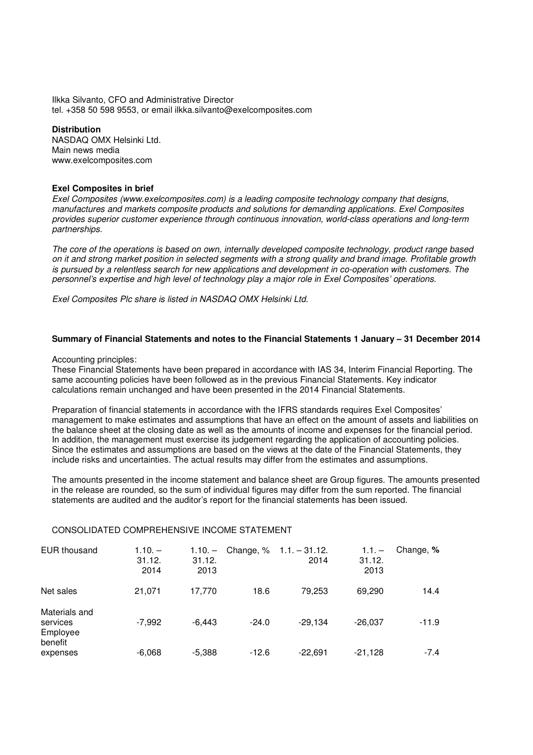Ilkka Silvanto, CFO and Administrative Director tel. +358 50 598 9553, or email ilkka.silvanto@exelcomposites.com

## **Distribution**

NASDAQ OMX Helsinki Ltd. Main news media www.exelcomposites.com

## **Exel Composites in brief**

Exel Composites (www.exelcomposites.com) is a leading composite technology company that designs, manufactures and markets composite products and solutions for demanding applications. Exel Composites provides superior customer experience through continuous innovation, world-class operations and long-term partnerships.

The core of the operations is based on own, internally developed composite technology, product range based on it and strong market position in selected segments with a strong quality and brand image. Profitable growth is pursued by a relentless search for new applications and development in co-operation with customers. The personnel's expertise and high level of technology play a major role in Exel Composites' operations.

Exel Composites Plc share is listed in NASDAQ OMX Helsinki Ltd.

## **Summary of Financial Statements and notes to the Financial Statements 1 January – 31 December 2014**

#### Accounting principles:

These Financial Statements have been prepared in accordance with IAS 34, Interim Financial Reporting. The same accounting policies have been followed as in the previous Financial Statements. Key indicator calculations remain unchanged and have been presented in the 2014 Financial Statements.

Preparation of financial statements in accordance with the IFRS standards requires Exel Composites' management to make estimates and assumptions that have an effect on the amount of assets and liabilities on the balance sheet at the closing date as well as the amounts of income and expenses for the financial period. In addition, the management must exercise its judgement regarding the application of accounting policies. Since the estimates and assumptions are based on the views at the date of the Financial Statements, they include risks and uncertainties. The actual results may differ from the estimates and assumptions.

The amounts presented in the income statement and balance sheet are Group figures. The amounts presented in the release are rounded, so the sum of individual figures may differ from the sum reported. The financial statements are audited and the auditor's report for the financial statements has been issued.

## CONSOLIDATED COMPREHENSIVE INCOME STATEMENT

| <b>EUR</b> thousand                              | $1.10 -$<br>31.12.<br>2014 | $1.10. -$<br>31.12.<br>2013 | Change, % | $1.1 - 31.12$ .<br>2014 | $1.1 -$<br>31.12.<br>2013 | Change, % |
|--------------------------------------------------|----------------------------|-----------------------------|-----------|-------------------------|---------------------------|-----------|
| Net sales                                        | 21,071                     | 17,770                      | 18.6      | 79.253                  | 69.290                    | 14.4      |
| Materials and<br>services<br>Employee<br>benefit | $-7,992$                   | $-6.443$                    | $-24.0$   | $-29.134$               | $-26.037$                 | $-11.9$   |
| expenses                                         | $-6,068$                   | $-5,388$                    | $-12.6$   | $-22,691$               | $-21,128$                 | $-7.4$    |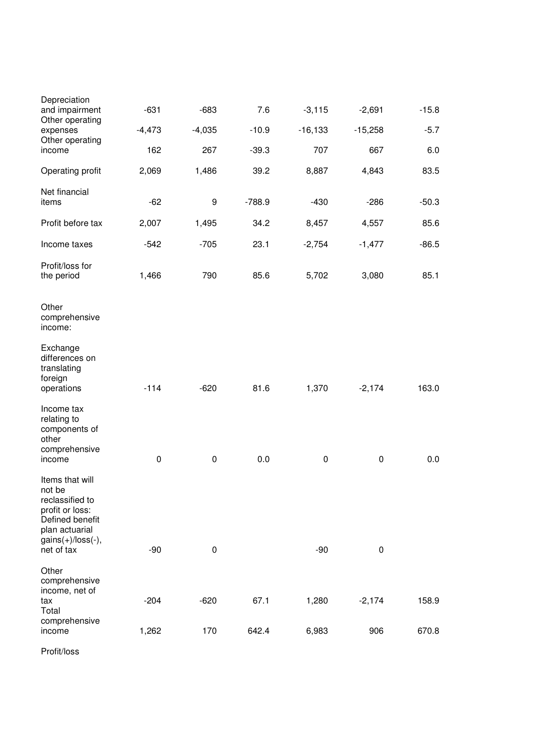| Depreciation<br>and impairment                                                                                                        | $-631$    | $-683$    | 7.6      | $-3,115$   | $-2,691$  | $-15.8$ |
|---------------------------------------------------------------------------------------------------------------------------------------|-----------|-----------|----------|------------|-----------|---------|
| Other operating<br>expenses<br>Other operating                                                                                        | $-4,473$  | $-4,035$  | $-10.9$  | $-16, 133$ | $-15,258$ | $-5.7$  |
| income                                                                                                                                | 162       | 267       | $-39.3$  | 707        | 667       | 6.0     |
| Operating profit                                                                                                                      | 2,069     | 1,486     | 39.2     | 8,887      | 4,843     | 83.5    |
| Net financial<br>items                                                                                                                | $-62$     | 9         | $-788.9$ | $-430$     | $-286$    | $-50.3$ |
| Profit before tax                                                                                                                     | 2,007     | 1,495     | 34.2     | 8,457      | 4,557     | 85.6    |
| Income taxes                                                                                                                          | $-542$    | $-705$    | 23.1     | $-2,754$   | $-1,477$  | $-86.5$ |
| Profit/loss for<br>the period                                                                                                         | 1,466     | 790       | 85.6     | 5,702      | 3,080     | 85.1    |
| Other<br>comprehensive<br>income:                                                                                                     |           |           |          |            |           |         |
| Exchange<br>differences on<br>translating<br>foreign<br>operations                                                                    | $-114$    | $-620$    | 81.6     | 1,370      | $-2,174$  | 163.0   |
| Income tax<br>relating to<br>components of<br>other<br>comprehensive                                                                  | $\pmb{0}$ |           | 0.0      | $\pmb{0}$  | 0         | 0.0     |
| income<br>Items that will<br>not be<br>reclassified to<br>profit or loss:<br>Defined benefit<br>plan actuarial<br>$gains(+)/loss(-),$ |           | $\pmb{0}$ |          |            |           |         |
| net of tax                                                                                                                            | $-90$     | 0         |          | $-90$      | $\pmb{0}$ |         |
| Other<br>comprehensive<br>income, net of<br>tax                                                                                       | $-204$    | $-620$    | 67.1     | 1,280      | $-2,174$  | 158.9   |
| Total<br>comprehensive<br>income                                                                                                      | 1,262     | 170       | 642.4    | 6,983      | 906       | 670.8   |
|                                                                                                                                       |           |           |          |            |           |         |

Profit/loss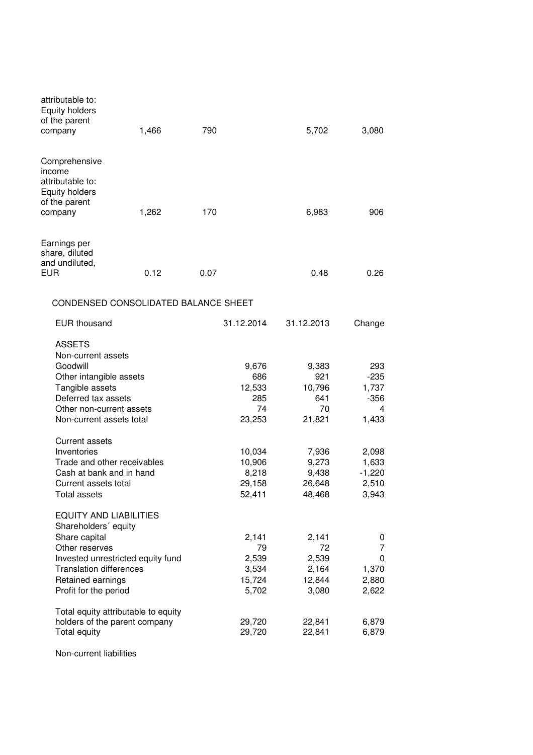| attributable to:<br><b>Equity holders</b><br>of the parent<br>company                                                                                                        | 1,466                                | 790  |                                                  | 5,702                                            | 3,080                                                         |
|------------------------------------------------------------------------------------------------------------------------------------------------------------------------------|--------------------------------------|------|--------------------------------------------------|--------------------------------------------------|---------------------------------------------------------------|
| Comprehensive<br>income<br>attributable to:<br><b>Equity holders</b><br>of the parent<br>company                                                                             | 1,262                                | 170  |                                                  | 6,983                                            | 906                                                           |
| Earnings per<br>share, diluted<br>and undiluted,<br>EUR                                                                                                                      | 0.12                                 | 0.07 |                                                  | 0.48                                             | 0.26                                                          |
|                                                                                                                                                                              | CONDENSED CONSOLIDATED BALANCE SHEET |      |                                                  |                                                  |                                                               |
| <b>EUR</b> thousand                                                                                                                                                          |                                      |      | 31.12.2014                                       | 31.12.2013                                       | Change                                                        |
| <b>ASSETS</b><br>Non-current assets<br>Goodwill<br>Other intangible assets<br>Tangible assets<br>Deferred tax assets<br>Other non-current assets<br>Non-current assets total |                                      |      | 9,676<br>686<br>12,533<br>285<br>74<br>23,253    | 9,383<br>921<br>10,796<br>641<br>70<br>21,821    | 293<br>$-235$<br>1,737<br>-356<br>4<br>1,433                  |
| <b>Current assets</b><br>Inventories<br>Trade and other receivables<br>Cash at bank and in hand<br>Current assets total<br><b>Total assets</b>                               |                                      |      | 10,034<br>10,906<br>8,218<br>29,158<br>52.411    | 7,936<br>9,273<br>9,438<br>26,648<br>48,468      | 2,098<br>1,633<br>$-1,220$<br>2,510<br>3,943                  |
| <b>EQUITY AND LIABILITIES</b><br>Shareholders' equity<br>Share capital<br>Other reserves<br><b>Translation differences</b><br>Retained earnings<br>Profit for the period     | Invested unrestricted equity fund    |      | 2,141<br>79<br>2,539<br>3,534<br>15,724<br>5,702 | 2,141<br>72<br>2,539<br>2,164<br>12,844<br>3,080 | 0<br>$\overline{7}$<br>$\mathbf 0$<br>1,370<br>2,880<br>2,622 |
| holders of the parent company<br>Total equity                                                                                                                                | Total equity attributable to equity  |      | 29,720<br>29,720                                 | 22,841<br>22,841                                 | 6,879<br>6,879                                                |
|                                                                                                                                                                              |                                      |      |                                                  |                                                  |                                                               |

Non-current liabilities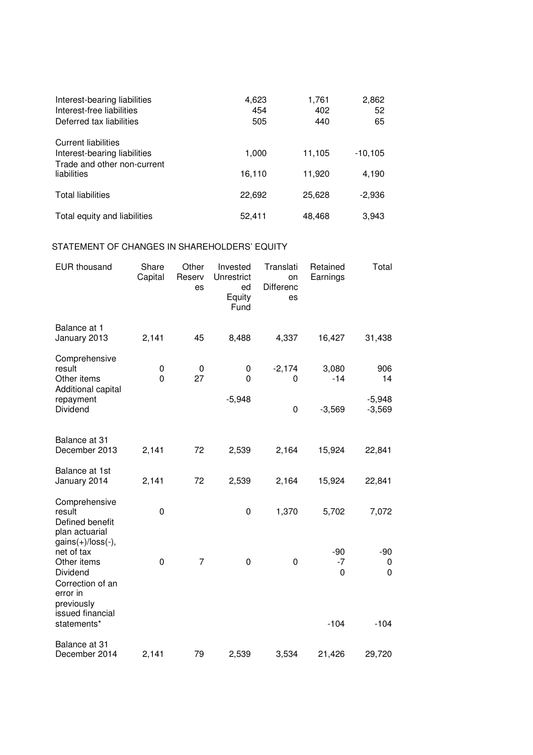| Interest-bearing liabilities<br>Interest-free liabilities<br>Deferred tax liabilities     | 4,623<br>454<br>505 | 1,761<br>402<br>440 | 2,862<br>52<br>65 |
|-------------------------------------------------------------------------------------------|---------------------|---------------------|-------------------|
| <b>Current liabilities</b><br>Interest-bearing liabilities<br>Trade and other non-current | 1,000               | 11,105              | $-10, 105$        |
| liabilities                                                                               | 16,110              | 11,920              | 4,190             |
| <b>Total liabilities</b>                                                                  | 22,692              | 25,628              | $-2.936$          |
| Total equity and liabilities                                                              | 52,411              | 48,468              | 3,943             |

## STATEMENT OF CHANGES IN SHAREHOLDERS' EQUITY

| <b>EUR thousand</b>                                                                                                                           | Share<br>Capital  | Other<br>Reserv<br>es | Invested<br>Unrestrict<br>ed<br>Equity<br>Fund | Translati<br>on<br>Differenc<br>es   | Retained<br>Earnings         | Total                               |
|-----------------------------------------------------------------------------------------------------------------------------------------------|-------------------|-----------------------|------------------------------------------------|--------------------------------------|------------------------------|-------------------------------------|
| Balance at 1<br>January 2013                                                                                                                  | 2,141             | 45                    | 8,488                                          | 4,337                                | 16,427                       | 31,438                              |
| Comprehensive<br>result<br>Other items<br>Additional capital<br>repayment<br>Dividend                                                         | 0<br>$\mathbf{0}$ | 0<br>27               | 0<br>$\mathbf{0}$<br>$-5,948$                  | $-2,174$<br>$\mathbf 0$<br>$\pmb{0}$ | 3,080<br>$-14$<br>$-3,569$   | 906<br>14<br>$-5,948$<br>$-3,569$   |
| Balance at 31<br>December 2013                                                                                                                | 2,141             | 72                    | 2,539                                          | 2,164                                | 15,924                       | 22,841                              |
| Balance at 1st<br>January 2014                                                                                                                | 2,141             | 72                    | 2,539                                          | 2,164                                | 15,924                       | 22,841                              |
| Comprehensive<br>result<br>Defined benefit<br>plan actuarial                                                                                  | 0                 |                       | $\mathbf 0$                                    | 1,370                                | 5,702                        | 7,072                               |
| $gains(+)/loss(-),$<br>net of tax<br>Other items<br>Dividend<br>Correction of an<br>error in<br>previously<br>issued financial<br>statements* | $\pmb{0}$         | $\overline{7}$        | $\mathbf 0$                                    | 0                                    | $-90$<br>$-7$<br>0<br>$-104$ | $-90$<br>0<br>$\mathbf 0$<br>$-104$ |
| Balance at 31<br>December 2014                                                                                                                | 2,141             | 79                    | 2,539                                          | 3,534                                | 21,426                       | 29,720                              |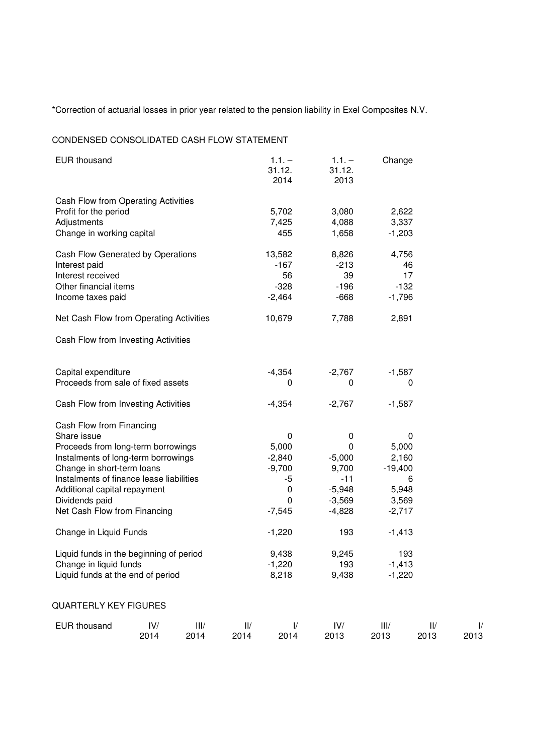\*Correction of actuarial losses in prior year related to the pension liability in Exel Composites N.V.

# CONDENSED CONSOLIDATED CASH FLOW STATEMENT

| <b>EUR thousand</b>                                                                                                                                                                                                                                                                                        |             |              |             | $1.1. -$<br>31.12.<br>2014                                                         | $1.1. -$<br>31.12.<br>2013                                                      | Change                                                                |             |                       |
|------------------------------------------------------------------------------------------------------------------------------------------------------------------------------------------------------------------------------------------------------------------------------------------------------------|-------------|--------------|-------------|------------------------------------------------------------------------------------|---------------------------------------------------------------------------------|-----------------------------------------------------------------------|-------------|-----------------------|
| Cash Flow from Operating Activities<br>Profit for the period<br>Adjustments<br>Change in working capital                                                                                                                                                                                                   |             |              |             | 5,702<br>7,425<br>455                                                              | 3,080<br>4,088<br>1,658                                                         | 2,622<br>3,337<br>$-1,203$                                            |             |                       |
| Cash Flow Generated by Operations<br>Interest paid<br>Interest received<br>Other financial items<br>Income taxes paid                                                                                                                                                                                      |             |              |             | 13,582<br>$-167$<br>56<br>$-328$<br>$-2,464$                                       | 8,826<br>$-213$<br>39<br>$-196$<br>$-668$                                       | 4,756<br>$-132$<br>$-1,796$                                           | 46<br>17    |                       |
| Net Cash Flow from Operating Activities                                                                                                                                                                                                                                                                    |             |              |             | 10,679                                                                             | 7,788                                                                           | 2,891                                                                 |             |                       |
| Cash Flow from Investing Activities                                                                                                                                                                                                                                                                        |             |              |             |                                                                                    |                                                                                 |                                                                       |             |                       |
| Capital expenditure<br>Proceeds from sale of fixed assets                                                                                                                                                                                                                                                  |             |              |             | $-4,354$<br>0                                                                      | $-2,767$<br>0                                                                   | $-1,587$                                                              | 0           |                       |
| Cash Flow from Investing Activities                                                                                                                                                                                                                                                                        |             |              |             | $-4,354$                                                                           | $-2,767$                                                                        | $-1,587$                                                              |             |                       |
| Cash Flow from Financing<br>Share issue<br>Proceeds from long-term borrowings<br>Instalments of long-term borrowings<br>Change in short-term loans<br>Instalments of finance lease liabilities<br>Additional capital repayment<br>Dividends paid<br>Net Cash Flow from Financing<br>Change in Liquid Funds |             |              |             | $\pmb{0}$<br>5,000<br>$-2,840$<br>$-9,700$<br>-5<br>0<br>0<br>$-7,545$<br>$-1,220$ | 0<br>0<br>$-5,000$<br>9,700<br>$-11$<br>$-5,948$<br>$-3,569$<br>$-4,828$<br>193 | 5,000<br>2,160<br>$-19,400$<br>5,948<br>3,569<br>$-2,717$<br>$-1,413$ | 0<br>6      |                       |
| Liquid funds in the beginning of period<br>Change in liquid funds<br>Liquid funds at the end of period                                                                                                                                                                                                     |             |              |             | 9,438<br>$-1,220$<br>8,218                                                         | 9,245<br>193<br>9,438                                                           | 193<br>$-1,413$<br>$-1,220$                                           |             |                       |
| <b>QUARTERLY KEY FIGURES</b>                                                                                                                                                                                                                                                                               |             |              |             |                                                                                    |                                                                                 |                                                                       |             |                       |
| <b>EUR thousand</b>                                                                                                                                                                                                                                                                                        | IV/<br>2014 | III/<br>2014 | II/<br>2014 | $\frac{1}{2}$<br>2014                                                              | IV/<br>2013                                                                     | III/<br>2013                                                          | II/<br>2013 | $\frac{1}{2}$<br>2013 |

I/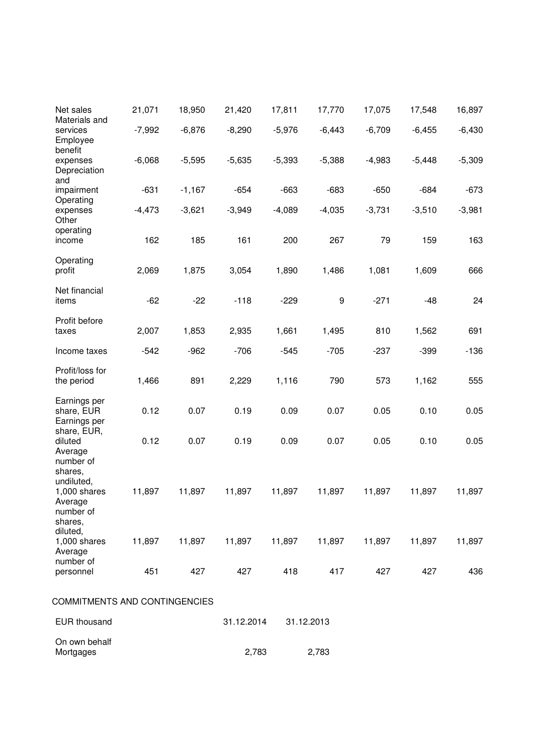| Net sales<br>Materials and                         | 21,071   | 18,950   | 21,420     | 17,811   | 17,770           | 17,075   | 17,548   | 16,897   |
|----------------------------------------------------|----------|----------|------------|----------|------------------|----------|----------|----------|
| services<br>Employee<br>benefit                    | $-7,992$ | $-6,876$ | $-8,290$   | $-5,976$ | $-6,443$         | $-6,709$ | $-6,455$ | $-6,430$ |
| expenses<br>Depreciation<br>and                    | $-6,068$ | $-5,595$ | $-5,635$   | $-5,393$ | $-5,388$         | $-4,983$ | $-5,448$ | $-5,309$ |
| impairment                                         | $-631$   | $-1,167$ | $-654$     | $-663$   | $-683$           | $-650$   | $-684$   | $-673$   |
| Operating<br>expenses<br>Other                     | $-4,473$ | $-3,621$ | $-3,949$   | $-4,089$ | $-4,035$         | $-3,731$ | $-3,510$ | $-3,981$ |
| operating<br>income                                | 162      | 185      | 161        | 200      | 267              | 79       | 159      | 163      |
| Operating<br>profit                                | 2,069    | 1,875    | 3,054      | 1,890    | 1,486            | 1,081    | 1,609    | 666      |
| Net financial<br>items                             | $-62$    | $-22$    | $-118$     | $-229$   | $\boldsymbol{9}$ | $-271$   | $-48$    | 24       |
| Profit before<br>taxes                             | 2,007    | 1,853    | 2,935      | 1,661    | 1,495            | 810      | 1,562    | 691      |
|                                                    |          |          |            |          |                  |          |          |          |
| Income taxes                                       | $-542$   | $-962$   | $-706$     | $-545$   | $-705$           | $-237$   | $-399$   | $-136$   |
| Profit/loss for<br>the period                      | 1,466    | 891      | 2,229      | 1,116    | 790              | 573      | 1,162    | 555      |
| Earnings per<br>share, EUR<br>Earnings per         | 0.12     | 0.07     | 0.19       | 0.09     | 0.07             | 0.05     | 0.10     | 0.05     |
| share, EUR,<br>diluted<br>Average                  | 0.12     | 0.07     | 0.19       | 0.09     | 0.07             | 0.05     | 0.10     | 0.05     |
| number of<br>shares,                               |          |          |            |          |                  |          |          |          |
| undiluted,<br>1,000 shares<br>Average<br>number of | 11,897   | 11,897   | 11,897     | 11,897   | 11,897           | 11,897   | 11,897   | 11,897   |
| shares,<br>diluted,<br>1,000 shares<br>Average     | 11,897   | 11,897   | 11,897     | 11,897   | 11,897           | 11,897   | 11,897   | 11,897   |
| number of<br>personnel                             | 451      | 427      | 427        | 418      | 417              | 427      | 427      | 436      |
| <b>COMMITMENTS AND CONTINGENCIES</b>               |          |          |            |          |                  |          |          |          |
| <b>EUR thousand</b>                                |          |          | 31.12.2014 |          | 31.12.2013       |          |          |          |
|                                                    |          |          |            |          |                  |          |          |          |

On own behalf

Mortgages 2,783 2,783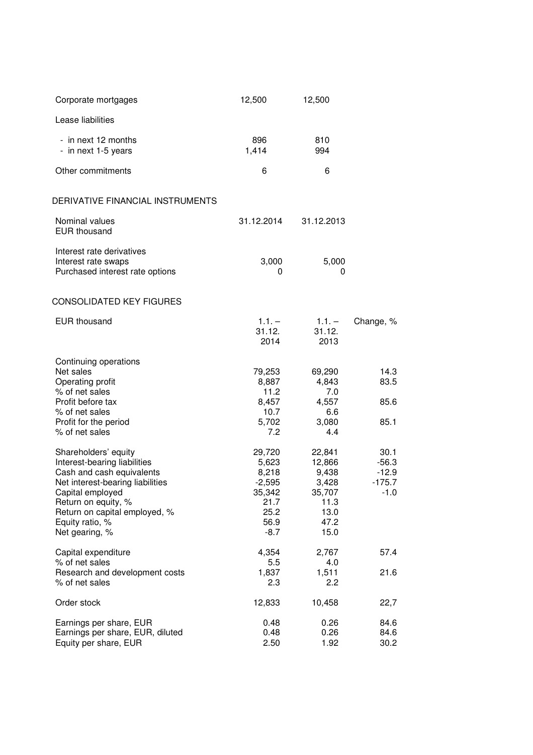| Corporate mortgages                                                                                                                                                                                                                    | 12,500                                                                           | 12,500                                                                       |                                                  |
|----------------------------------------------------------------------------------------------------------------------------------------------------------------------------------------------------------------------------------------|----------------------------------------------------------------------------------|------------------------------------------------------------------------------|--------------------------------------------------|
| Lease liabilities                                                                                                                                                                                                                      |                                                                                  |                                                                              |                                                  |
| - in next 12 months<br>- in next 1-5 years                                                                                                                                                                                             | 896<br>1,414                                                                     | 810<br>994                                                                   |                                                  |
| Other commitments                                                                                                                                                                                                                      | 6                                                                                | 6                                                                            |                                                  |
| DERIVATIVE FINANCIAL INSTRUMENTS                                                                                                                                                                                                       |                                                                                  |                                                                              |                                                  |
| Nominal values<br><b>EUR thousand</b>                                                                                                                                                                                                  | 31.12.2014                                                                       | 31.12.2013                                                                   |                                                  |
| Interest rate derivatives<br>Interest rate swaps<br>Purchased interest rate options                                                                                                                                                    | 3,000<br>0                                                                       | 5,000<br>0                                                                   |                                                  |
| CONSOLIDATED KEY FIGURES                                                                                                                                                                                                               |                                                                                  |                                                                              |                                                  |
| <b>EUR thousand</b>                                                                                                                                                                                                                    | $1.1. -$<br>31.12.<br>2014                                                       | $1.1 -$<br>31.12.<br>2013                                                    | Change, %                                        |
| Continuing operations<br>Net sales<br>Operating profit<br>% of net sales<br>Profit before tax<br>% of net sales<br>Profit for the period<br>% of net sales                                                                             | 79,253<br>8,887<br>11.2<br>8,457<br>10.7<br>5,702<br>7.2                         | 69,290<br>4,843<br>7.0<br>4,557<br>6.6<br>3,080<br>4.4                       | 14.3<br>83.5<br>85.6<br>85.1                     |
| Shareholders' equity<br>Interest-bearing liabilities<br>Cash and cash equivalents<br>Net interest-bearing liabilities<br>Capital employed<br>Return on equity, %<br>Return on capital employed, %<br>Equity ratio, %<br>Net gearing, % | 29,720<br>5,623<br>8,218<br>$-2,595$<br>35,342<br>21.7<br>25.2<br>56.9<br>$-8.7$ | 22,841<br>12,866<br>9,438<br>3,428<br>35,707<br>11.3<br>13.0<br>47.2<br>15.0 | 30.1<br>$-56.3$<br>$-12.9$<br>$-175.7$<br>$-1.0$ |
| Capital expenditure<br>% of net sales                                                                                                                                                                                                  | 4,354<br>5.5                                                                     | 2,767<br>4.0                                                                 | 57.4                                             |
| Research and development costs<br>% of net sales                                                                                                                                                                                       | 1,837<br>2.3                                                                     | 1,511<br>2.2                                                                 | 21.6                                             |
| Order stock                                                                                                                                                                                                                            | 12,833                                                                           | 10,458                                                                       | 22,7                                             |
| Earnings per share, EUR<br>Earnings per share, EUR, diluted<br>Equity per share, EUR                                                                                                                                                   | 0.48<br>0.48<br>2.50                                                             | 0.26<br>0.26<br>1.92                                                         | 84.6<br>84.6<br>30.2                             |